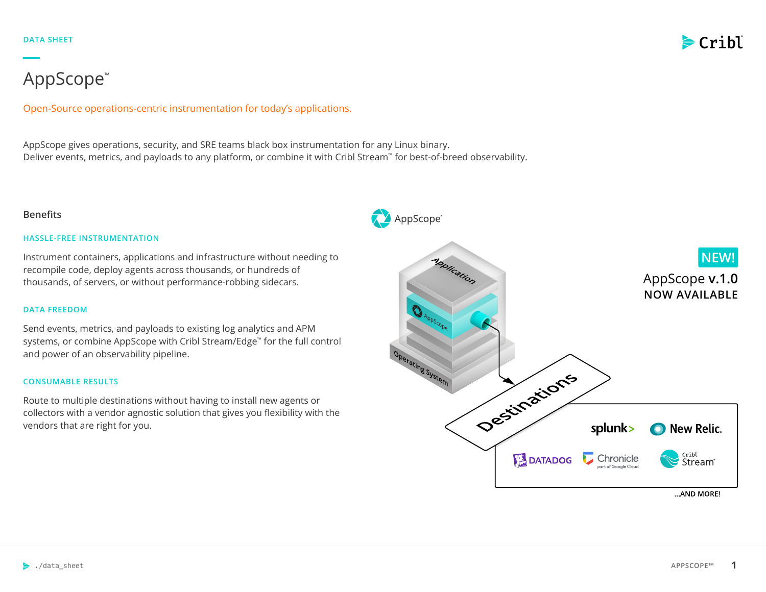

# AppScope™

Open-Source operations-centric instrumentation for today's applications.

AppScope gives operations, security, and SRE teams black box instrumentation for any Linux binary. Deliver events, metrics, and payloads to any platform, or combine it with Cribl Stream™ for best-of-breed observability.

# **Benefits**

## **HASSLE-FREE INSTRUMENTATION**

Instrument containers, applications and infrastructure without needing to recompile code, deploy agents across thousands, or hundreds of thousands, of servers, or without performance-robbing sidecars.

## **DATA FREEDOM**

Send events, metrics, and payloads to existing log analytics and APM systems, or combine AppScope with Cribl Stream/Edge™ for the full control and power of an observability pipeline.

## **CONSUMABLE RESULTS**

Route to multiple destinations without having to install new agents or collectors with a vendor agnostic solution that gives you flexibility with the vendors that are right for you.